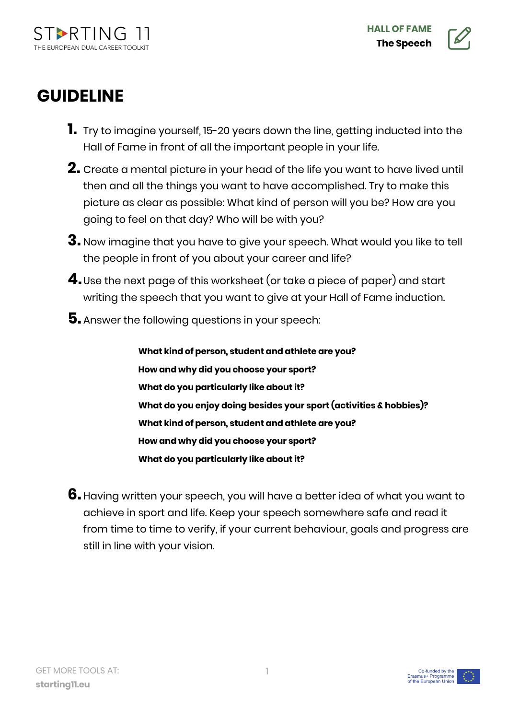

## **GUIDELINE**

- **1.** Try to imagine yourself, 15-20 years down the line, getting inducted into the Hall of Fame in front of all the important people in your life.
- **2.** Create a mental picture in your head of the life you want to have lived until then and all the things you want to have accomplished. Try to make this picture as clear as possible: What kind of person will you be? How are you going to feel on that day? Who will be with you?
- **3.** Now imagine that you have to give your speech. What would you like to tell the people in front of you about your career and life?
- **4.**Use the next page of this worksheet (or take a piece of paper) and start writing the speech that you want to give at your Hall of Fame induction.
- **5.** Answer the following questions in your speech:

**What kind of person, student and athlete are you? How and why did you choose your sport? What do you particularly like about it? What do you enjoy doing besides your sport (activities & hobbies)? What kind of person, student and athlete are you? How and why did you choose your sport? What do you particularly like about it?**

**6.** Having written your speech, you will have a better idea of what you want to achieve in sport and life. Keep your speech somewhere safe and read it from time to time to verify, if your current behaviour, goals and progress are still in line with your vision.